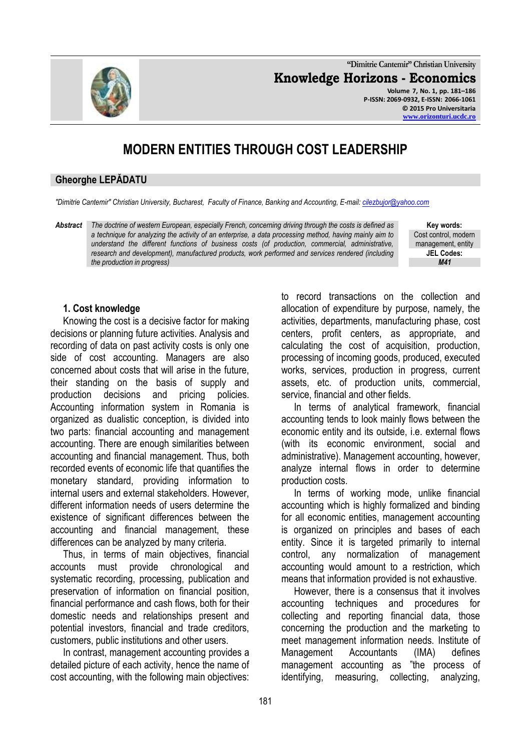**"Dimitrie Cantemir" Christian University Knowledge Horizons - Economics**

**Volume 7, No. 1, pp. 181–186 P-ISSN: 2069-0932, E-ISSN: 2066-1061 © 2015 Pro Universitaria [www.orizonturi.ucdc.ro](http://www.orizonturi.ucdc.ro/)**

# **MODERN ENTITIES THROUGH COST LEADERSHIP**

#### **Gheorghe LEPĂDATU**

*"Dimitrie Cantemir" Christian University, Bucharest, Faculty of Finance, Banking and Accounting, E-mail: [cilezbujor@yahoo.com](mailto:cilezbujor@yahoo.com)*

*Abstract The doctrine of western European, especially French, concerning driving through the costs is defined as a technique for analyzing the activity of an enterprise, a data processing method, having mainly aim to understand the different functions of business costs (of production, commercial, administrative, research and development), manufactured products, work performed and services rendered (including the production in progress)*

**Key words:** Cost control, modern management, entity **JEL Codes:** *M41*

## **1. Cost knowledge**

Knowing the cost is a decisive factor for making decisions or planning future activities. Analysis and recording of data on past activity costs is only one side of cost accounting. Managers are also concerned about costs that will arise in the future, their standing on the basis of supply and production decisions and pricing policies. Accounting information system in Romania is organized as dualistic conception, is divided into two parts: financial accounting and management accounting. There are enough similarities between accounting and financial management. Thus, both recorded events of economic life that quantifies the monetary standard, providing information to internal users and external stakeholders. However, different information needs of users determine the existence of significant differences between the accounting and financial management, these differences can be analyzed by many criteria.

Thus, in terms of main objectives, financial accounts must provide chronological and systematic recording, processing, publication and preservation of information on financial position, financial performance and cash flows, both for their domestic needs and relationships present and potential investors, financial and trade creditors, customers, public institutions and other users.

In contrast, management accounting provides a detailed picture of each activity, hence the name of cost accounting, with the following main objectives:

to record transactions on the collection and allocation of expenditure by purpose, namely, the activities, departments, manufacturing phase, cost centers, profit centers, as appropriate, and calculating the cost of acquisition, production, processing of incoming goods, produced, executed works, services, production in progress, current assets, etc. of production units, commercial, service, financial and other fields.

In terms of analytical framework, financial accounting tends to look mainly flows between the economic entity and its outside, i.e. external flows (with its economic environment, social and administrative). Management accounting, however, analyze internal flows in order to determine production costs.

In terms of working mode, unlike financial accounting which is highly formalized and binding for all economic entities, management accounting is organized on principles and bases of each entity. Since it is targeted primarily to internal control, any normalization of management accounting would amount to a restriction, which means that information provided is not exhaustive.

However, there is a consensus that it involves accounting techniques and procedures for collecting and reporting financial data, those concerning the production and the marketing to meet management information needs. Institute of Management Accountants (IMA) defines management accounting as "the process of identifying, measuring, collecting, analyzing,

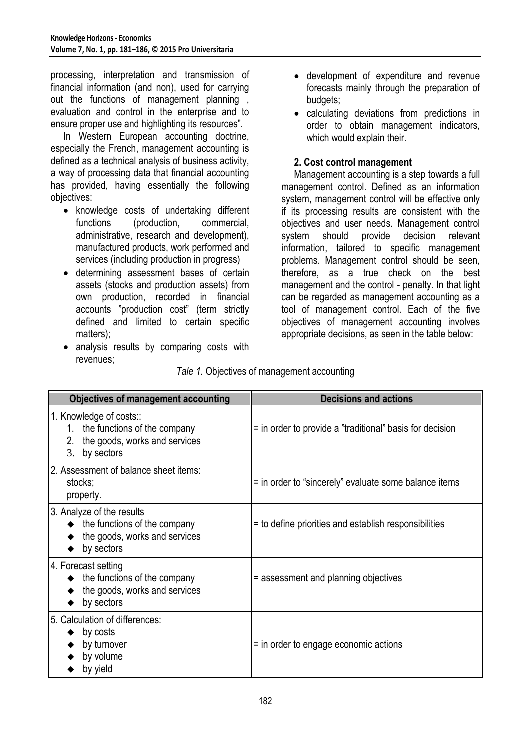processing, interpretation and transmission of financial information (and non), used for carrying out the functions of management planning , evaluation and control in the enterprise and to ensure proper use and highlighting its resources".

In Western European accounting doctrine, especially the French, management accounting is defined as a technical analysis of business activity, a way of processing data that financial accounting has provided, having essentially the following objectives:

- knowledge costs of undertaking different functions (production, commercial, administrative, research and development), manufactured products, work performed and services (including production in progress)
- determining assessment bases of certain assets (stocks and production assets) from own production, recorded in financial accounts "production cost" (term strictly defined and limited to certain specific matters);
- analysis results by comparing costs with revenues;
- development of expenditure and revenue forecasts mainly through the preparation of budgets;
- calculating deviations from predictions in order to obtain management indicators, which would explain their.

# **2. Cost control management**

Management accounting is a step towards a full management control. Defined as an information system, management control will be effective only if its processing results are consistent with the objectives and user needs. Management control system should provide decision relevant information, tailored to specific management problems. Management control should be seen, therefore, as a true check on the best management and the control - penalty. In that light can be regarded as management accounting as a tool of management control. Each of the five objectives of management accounting involves appropriate decisions, as seen in the table below:

| <b>Objectives of management accounting</b>                                                                         | <b>Decisions and actions</b>                             |
|--------------------------------------------------------------------------------------------------------------------|----------------------------------------------------------|
| 1. Knowledge of costs::<br>1. the functions of the company<br>2. the goods, works and services<br>3. by sectors    | = in order to provide a "traditional" basis for decision |
| 2. Assessment of balance sheet items:<br>stocks;<br>property.                                                      | = in order to "sincerely" evaluate some balance items    |
| 3. Analyze of the results<br>$\bullet$ the functions of the company<br>the goods, works and services<br>by sectors | = to define priorities and establish responsibilities    |
| 4. Forecast setting<br>$\bullet$ the functions of the company<br>the goods, works and services<br>by sectors       | = assessment and planning objectives                     |
| 5. Calculation of differences:<br>by costs<br>by turnover<br>by volume<br>by yield                                 | = in order to engage economic actions                    |

*Tale 1.* Objectives of management accounting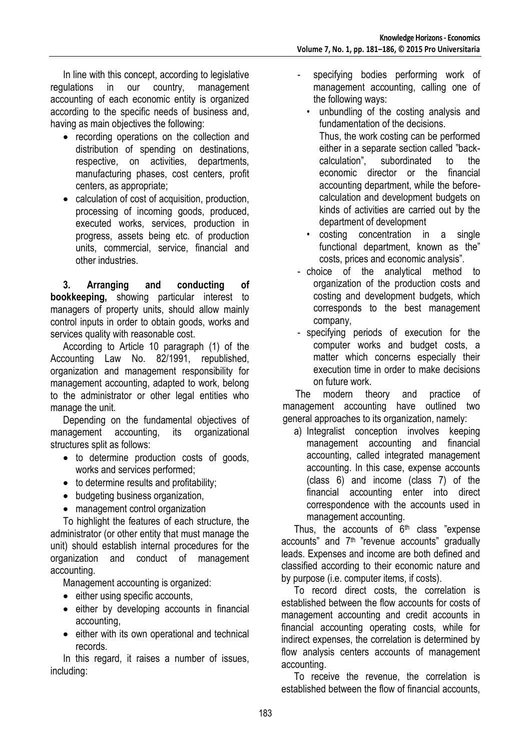In line with this concept, according to legislative regulations in our country, management accounting of each economic entity is organized according to the specific needs of business and, having as main objectives the following:

- recording operations on the collection and distribution of spending on destinations, respective, on activities, departments, manufacturing phases, cost centers, profit centers, as appropriate;
- calculation of cost of acquisition, production, processing of incoming goods, produced, executed works, services, production in progress, assets being etc. of production units, commercial, service, financial and other industries.

**3. Arranging and conducting of bookkeeping,** showing particular interest to managers of property units, should allow mainly control inputs in order to obtain goods, works and services quality with reasonable cost.

According to Article 10 paragraph (1) of the Accounting Law No. 82/1991, republished, organization and management responsibility for management accounting, adapted to work, belong to the administrator or other legal entities who manage the unit.

Depending on the fundamental objectives of management accounting, its organizational structures split as follows:

- to determine production costs of goods, works and services performed;
- to determine results and profitability;
- budgeting business organization,
- management control organization

To highlight the features of each structure, the administrator (or other entity that must manage the unit) should establish internal procedures for the organization and conduct of management accounting.

Management accounting is organized:

- either using specific accounts,
- either by developing accounts in financial accounting,
- either with its own operational and technical records.

In this regard, it raises a number of issues, including:

- specifying bodies performing work of management accounting, calling one of the following ways:
	- unbundling of the costing analysis and fundamentation of the decisions. Thus, the work costing can be performed either in a separate section called "back-<br>calculation". subordinated to the subordinated to the economic director or the financial accounting department, while the beforecalculation and development budgets on kinds of activities are carried out by the department of development
	- costing concentration in a single functional department, known as the" costs, prices and economic analysis".
- choice of the analytical method to organization of the production costs and costing and development budgets, which corresponds to the best management company,
- specifying periods of execution for the computer works and budget costs, a matter which concerns especially their execution time in order to make decisions on future work.

The modern theory and practice of management accounting have outlined two general approaches to its organization, namely:

a) Integralist conception involves keeping management accounting and financial accounting, called integrated management accounting. In this case, expense accounts (class 6) and income (class 7) of the financial accounting enter into direct correspondence with the accounts used in management accounting.

Thus, the accounts of  $6<sup>th</sup>$  class "expense accounts" and  $7<sup>th</sup>$  "revenue accounts" gradually leads. Expenses and income are both defined and classified according to their economic nature and by purpose (i.e. computer items, if costs).

To record direct costs, the correlation is established between the flow accounts for costs of management accounting and credit accounts in financial accounting operating costs, while for indirect expenses, the correlation is determined by flow analysis centers accounts of management accounting.

To receive the revenue, the correlation is established between the flow of financial accounts,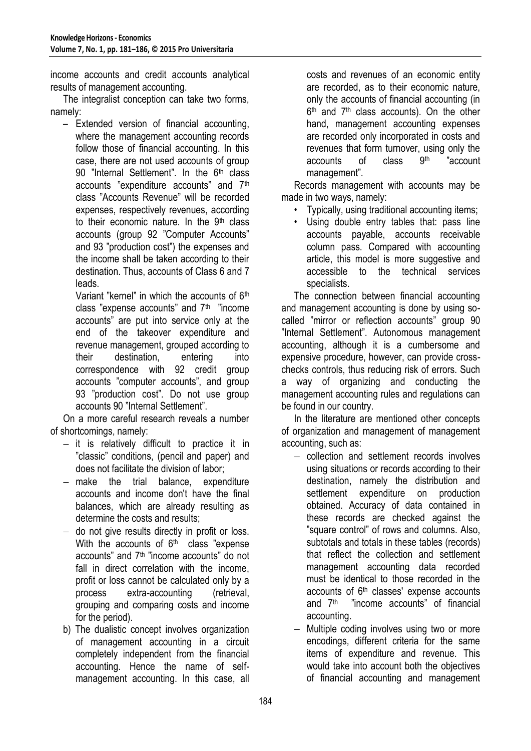income accounts and credit accounts analytical results of management accounting.

The integralist conception can take two forms, namely:

– Extended version of financial accounting, where the management accounting records follow those of financial accounting. In this case, there are not used accounts of group 90 "Internal Settlement". In the 6<sup>th</sup> class accounts "expenditure accounts" and 7th class "Accounts Revenue" will be recorded expenses, respectively revenues, according to their economic nature. In the 9<sup>th</sup> class accounts (group 92 "Computer Accounts" and 93 "production cost") the expenses and the income shall be taken according to their destination. Thus, accounts of Class 6 and 7 leads.

Variant "kernel" in which the accounts of 6th class "expense accounts" and 7th "income accounts" are put into service only at the end of the takeover expenditure and revenue management, grouped according to their destination, entering into correspondence with 92 credit group accounts "computer accounts", and group 93 "production cost". Do not use group accounts 90 "Internal Settlement".

On a more careful research reveals a number of shortcomings, namely:

- $-$  it is relatively difficult to practice it in "classic" conditions, (pencil and paper) and does not facilitate the division of labor;
- $-$  make the trial balance, expenditure accounts and income don't have the final balances, which are already resulting as determine the costs and results;
- do not give results directly in profit or loss. With the accounts of  $6<sup>th</sup>$  class "expense accounts" and 7<sup>th</sup> "income accounts" do not fall in direct correlation with the income, profit or loss cannot be calculated only by a process extra-accounting (retrieval, grouping and comparing costs and income for the period).
- b) The dualistic concept involves organization of management accounting in a circuit completely independent from the financial accounting. Hence the name of selfmanagement accounting. In this case, all

costs and revenues of an economic entity are recorded, as to their economic nature, only the accounts of financial accounting (in 6<sup>th</sup> and 7<sup>th</sup> class accounts). On the other hand, management accounting expenses are recorded only incorporated in costs and revenues that form turnover, using only the accounts of class **gth** "account management".

Records management with accounts may be made in two ways, namely:

- Typically, using traditional accounting items;
- Using double entry tables that: pass line accounts payable, accounts receivable column pass. Compared with accounting article, this model is more suggestive and accessible to the technical services specialists.

The connection between financial accounting and management accounting is done by using socalled "mirror or reflection accounts" group 90 "Internal Settlement". Autonomous management accounting, although it is a cumbersome and expensive procedure, however, can provide crosschecks controls, thus reducing risk of errors. Such a way of organizing and conducting the management accounting rules and regulations can be found in our country.

In the literature are mentioned other concepts of organization and management of management accounting, such as:

- collection and settlement records involves using situations or records according to their destination, namely the distribution and settlement expenditure on production obtained. Accuracy of data contained in these records are checked against the "square control" of rows and columns. Also, subtotals and totals in these tables (records) that reflect the collection and settlement management accounting data recorded must be identical to those recorded in the accounts of 6<sup>th</sup> classes' expense accounts and 7th "income accounts" of financial accounting.
- Multiple coding involves using two or more encodings, different criteria for the same items of expenditure and revenue. This would take into account both the objectives of financial accounting and management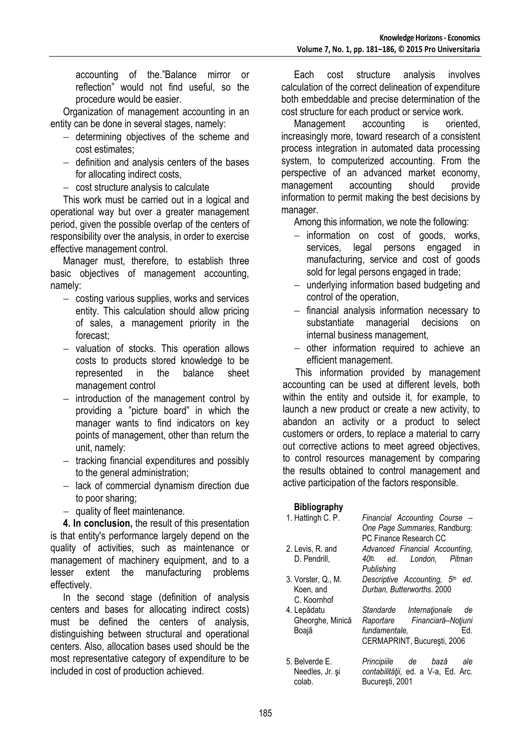accounting of the."Balance mirror or reflection" would not find useful, so the procedure would be easier.

Organization of management accounting in an entity can be done in several stages, namely:

- $-$  determining objectives of the scheme and cost estimates;
- $-$  definition and analysis centers of the bases for allocating indirect costs,
- $-$  cost structure analysis to calculate

This work must be carried out in a logical and operational way but over a greater management period, given the possible overlap of the centers of responsibility over the analysis, in order to exercise effective management control.

Manager must, therefore, to establish three basic objectives of management accounting, namely:

- costing various supplies, works and services entity. This calculation should allow pricing of sales, a management priority in the forecast;
- valuation of stocks. This operation allows costs to products stored knowledge to be represented in the balance sheet management control
- introduction of the management control by providing a "picture board" in which the manager wants to find indicators on key points of management, other than return the unit, namely:
- $-$  tracking financial expenditures and possibly to the general administration;
- $-$  lack of commercial dynamism direction due to poor sharing;
- $-$  quality of fleet maintenance.

**4. In conclusion,** the result of this presentation is that entity's performance largely depend on the quality of activities, such as maintenance or management of machinery equipment, and to a lesser extent the manufacturing problems effectively.

In the second stage (definition of analysis centers and bases for allocating indirect costs) must be defined the centers of analysis, distinguishing between structural and operational centers. Also, allocation bases used should be the most representative category of expenditure to be included in cost of production achieved.

Each cost structure analysis involves calculation of the correct delineation of expenditure both embeddable and precise determination of the cost structure for each product or service work.

Management accounting is oriented, increasingly more, toward research of a consistent process integration in automated data processing system, to computerized accounting. From the perspective of an advanced market economy, management accounting should provide information to permit making the best decisions by manager.

Among this information, we note the following:

- $-$  information on cost of goods, works, services, legal persons engaged in manufacturing, service and cost of goods sold for legal persons engaged in trade;
- $-$  underlying information based budgeting and control of the operation,
- $-$  financial analysis information necessary to substantiate managerial decisions on internal business management,
- $-$  other information required to achieve an efficient management.

This information provided by management accounting can be used at different levels, both within the entity and outside it, for example, to launch a new product or create a new activity, to abandon an activity or a product to select customers or orders, to replace a material to carry out corrective actions to meet agreed objectives, to control resources management by comparing the results obtained to control management and active participation of the factors responsible.

### **Bibliography**

| 1. Hattingh C. P.                              | Financial Accounting Course -<br>One Page Summaries, Randburg:<br>PC Finance Research CC                              |
|------------------------------------------------|-----------------------------------------------------------------------------------------------------------------------|
| 2. Levis, R. and<br>D. Pendrill,               | Advanced Financial Accounting,<br>ed. London, Pitman<br>40 <sup>th</sup><br>Publishing                                |
| 3. Vorster, Q., M.<br>Koen, and<br>C. Koornhof | Descriptive Accounting, 5th<br>ed.<br>Durban, Butterworths. 2000                                                      |
| 4. Lepădatu<br>Gheorghe, Minică<br>Boajă       | Standarde Internationale<br>de<br>Raportare Financiară-Noțiuni<br>fundamentale.<br>Ed.<br>CERMAPRINT, București, 2006 |
| 5. Belverde E.<br>Needles, Jr. și<br>colab.    | Principiile de bază<br>ale<br>contabilității, ed. a V-a, Ed. Arc.<br>București, 2001                                  |